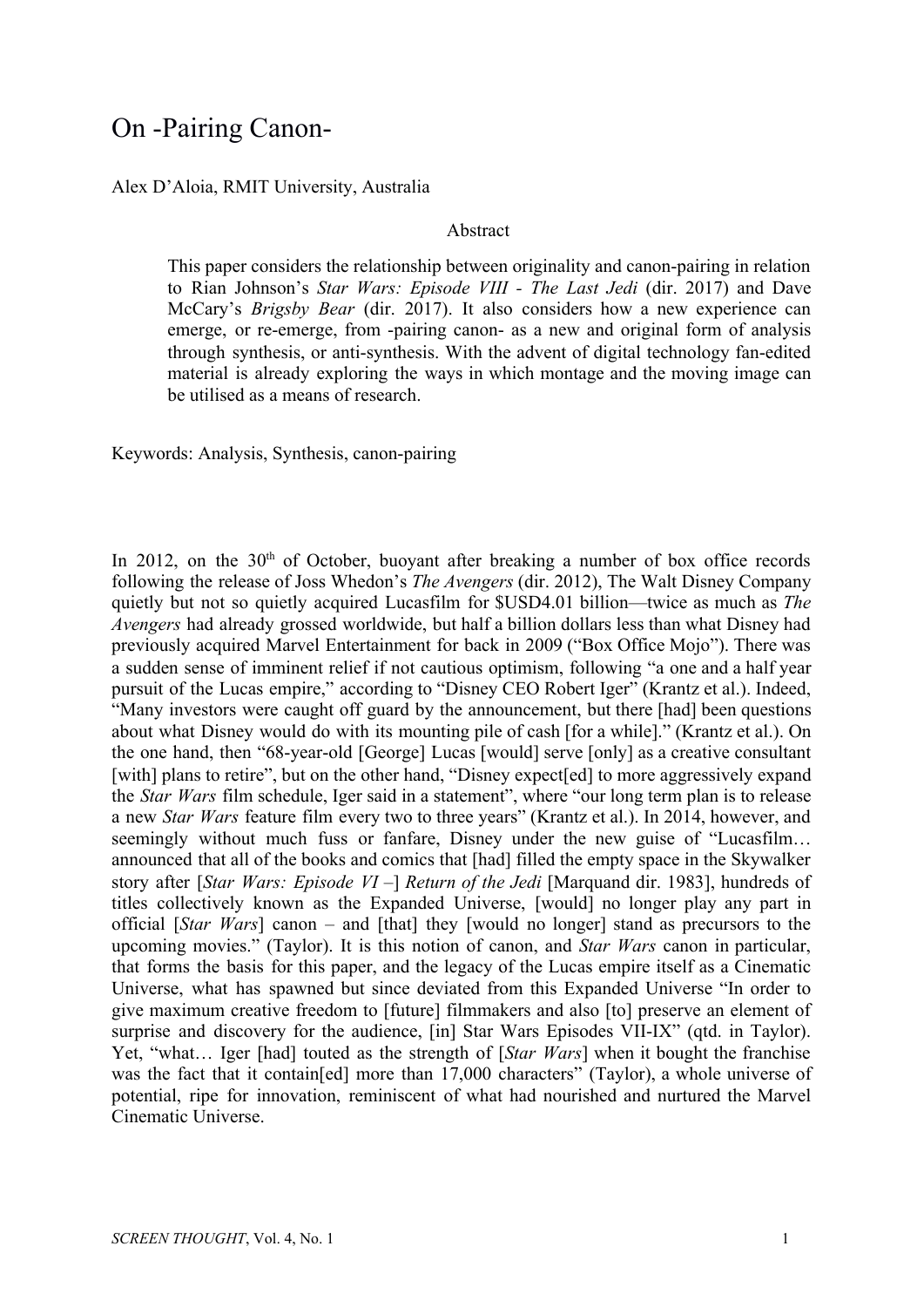# On -Pairing Canon-

### Alex D'Aloia, RMIT University, Australia

#### Abstract

This paper considers the relationship between originality and canon-pairing in relation to Rian Johnson's *Star Wars: Episode VIII - The Last Jedi* (dir. 2017) and Dave McCary's *Brigsby Bear* (dir. 2017). It also considers how a new experience can emerge, or re-emerge, from -pairing canon- as a new and original form of analysis through synthesis, or anti-synthesis. With the advent of digital technology fan-edited material is already exploring the ways in which montage and the moving image can be utilised as a means of research.

Keywords: Analysis, Synthesis, canon-pairing

In 2012, on the  $30<sup>th</sup>$  of October, buoyant after breaking a number of box office records following the release of Joss Whedon's *The Avengers* (dir. 2012), The Walt Disney Company quietly but not so quietly acquired Lucasfilm for \$USD4.01 billion—twice as much as *The Avengers* had already grossed worldwide, but half a billion dollars less than what Disney had previously acquired Marvel Entertainment for back in 2009 ("Box Office Mojo"). There was a sudden sense of imminent relief if not cautious optimism, following "a one and a half year pursuit of the Lucas empire," according to "Disney CEO Robert Iger" (Krantz et al.). Indeed, "Many investors were caught off guard by the announcement, but there [had] been questions about what Disney would do with its mounting pile of cash [for a while]." (Krantz et al.). On the one hand, then "68-year-old [George] Lucas [would] serve [only] as a creative consultant [with] plans to retire", but on the other hand, "Disney expect[ed] to more aggressively expand the *Star Wars* film schedule, Iger said in a statement", where "our long term plan is to release a new *Star Wars* feature film every two to three years" (Krantz et al.). In 2014, however, and seemingly without much fuss or fanfare, Disney under the new guise of "Lucasfilm... announced that all of the books and comics that [had] filled the empty space in the Skywalker story after [*Star Wars: Episode VI –*] *Return of the Jedi* [Marquand dir. 1983], hundreds of titles collectively known as the Expanded Universe, [would] no longer play any part in official [*Star Wars*] canon – and [that] they [would no longer] stand as precursors to the upcoming movies." (Taylor). It is this notion of canon, and *Star Wars* canon in particular, that forms the basis for this paper, and the legacy of the Lucas empire itself as a Cinematic Universe, what has spawned but since deviated from this Expanded Universe "In order to give maximum creative freedom to [future] filmmakers and also [to] preserve an element of surprise and discovery for the audience, [in] Star Wars Episodes VII-IX" (qtd. in Taylor). Yet, "what… Iger [had] touted as the strength of [*Star Wars*] when it bought the franchise was the fact that it contain[ed] more than 17,000 characters" (Taylor), a whole universe of potential, ripe for innovation, reminiscent of what had nourished and nurtured the Marvel Cinematic Universe.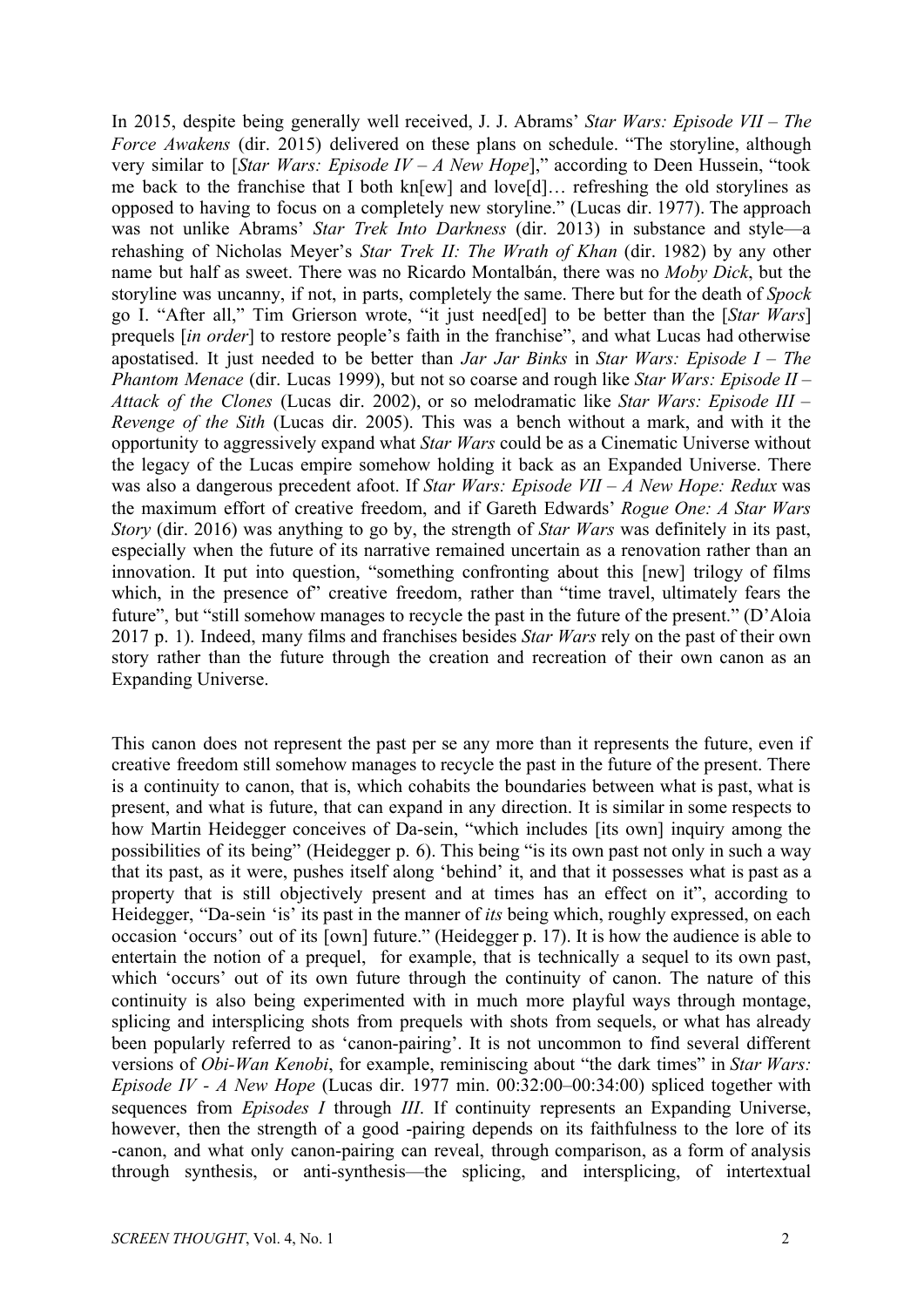In 2015, despite being generally well received, J. J. Abrams' *Star Wars: Episode VII – The Force Awakens* (dir. 2015) delivered on these plans on schedule. "The storyline, although very similar to [*Star Wars: Episode IV – A New Hope*]," according to Deen Hussein, "took me back to the franchise that I both kn[ew] and love[d]… refreshing the old storylines as opposed to having to focus on a completely new storyline." (Lucas dir. 1977). The approach was not unlike Abrams' *Star Trek Into Darkness* (dir. 2013) in substance and style—a rehashing of Nicholas Meyer's *Star Trek II: The Wrath of Khan* (dir. 1982) by any other name but half as sweet. There was no Ricardo Montalbán, there was no *Moby Dick*, but the storyline was uncanny, if not, in parts, completely the same. There but for the death of *Spock* go I. "After all," Tim Grierson wrote, "it just need[ed] to be better than the [*Star Wars*] prequels [*in order*] to restore people's faith in the franchise", and what Lucas had otherwise apostatised. It just needed to be better than *Jar Jar Binks* in *Star Wars: Episode I – The Phantom Menace* (dir. Lucas 1999), but not so coarse and rough like *Star Wars: Episode II – Attack of the Clones* (Lucas dir. 2002), or so melodramatic like *Star Wars: Episode III – Revenge of the Sith* (Lucas dir. 2005). This was a bench without a mark, and with it the opportunity to aggressively expand what *Star Wars* could be as a Cinematic Universe without the legacy of the Lucas empire somehow holding it back as an Expanded Universe. There was also a dangerous precedent afoot. If *Star Wars: Episode VII – A New Hope: Redux* was the maximum effort of creative freedom, and if Gareth Edwards' *Rogue One: A Star Wars Story* (dir. 2016) was anything to go by, the strength of *Star Wars* was definitely in its past, especially when the future of its narrative remained uncertain as a renovation rather than an innovation. It put into question, "something confronting about this [new] trilogy of films which, in the presence of" creative freedom, rather than "time travel, ultimately fears the future", but "still somehow manages to recycle the past in the future of the present." (D'Aloia 2017 p. 1). Indeed, many films and franchises besides *Star Wars* rely on the past of their own story rather than the future through the creation and recreation of their own canon as an Expanding Universe.

This canon does not represent the past per se any more than it represents the future, even if creative freedom still somehow manages to recycle the past in the future of the present. There is a continuity to canon, that is, which cohabits the boundaries between what is past, what is present, and what is future, that can expand in any direction. It is similar in some respects to how Martin Heidegger conceives of Da-sein, "which includes [its own] inquiry among the possibilities of its being" (Heidegger p. 6). This being "is its own past not only in such a way that its past, as it were, pushes itself along 'behind' it, and that it possesses what is past as a property that is still objectively present and at times has an effect on it", according to Heidegger, "Da-sein 'is' its past in the manner of *its* being which, roughly expressed, on each occasion 'occurs' out of its [own] future." (Heidegger p. 17). It is how the audience is able to entertain the notion of a prequel, for example, that is technically a sequel to its own past, which 'occurs' out of its own future through the continuity of canon. The nature of this continuity is also being experimented with in much more playful ways through montage, splicing and intersplicing shots from prequels with shots from sequels, or what has already been popularly referred to as 'canon-pairing'. It is not uncommon to find several different versions of *Obi-Wan Kenobi*, for example, reminiscing about "the dark times" in *Star Wars: Episode IV - A New Hope* (Lucas dir. 1977 min. 00:32:00–00:34:00) spliced together with sequences from *Episodes I* through *III*. If continuity represents an Expanding Universe, however, then the strength of a good -pairing depends on its faithfulness to the lore of its -canon, and what only canon-pairing can reveal, through comparison, as a form of analysis through synthesis, or anti-synthesis—the splicing, and intersplicing, of intertextual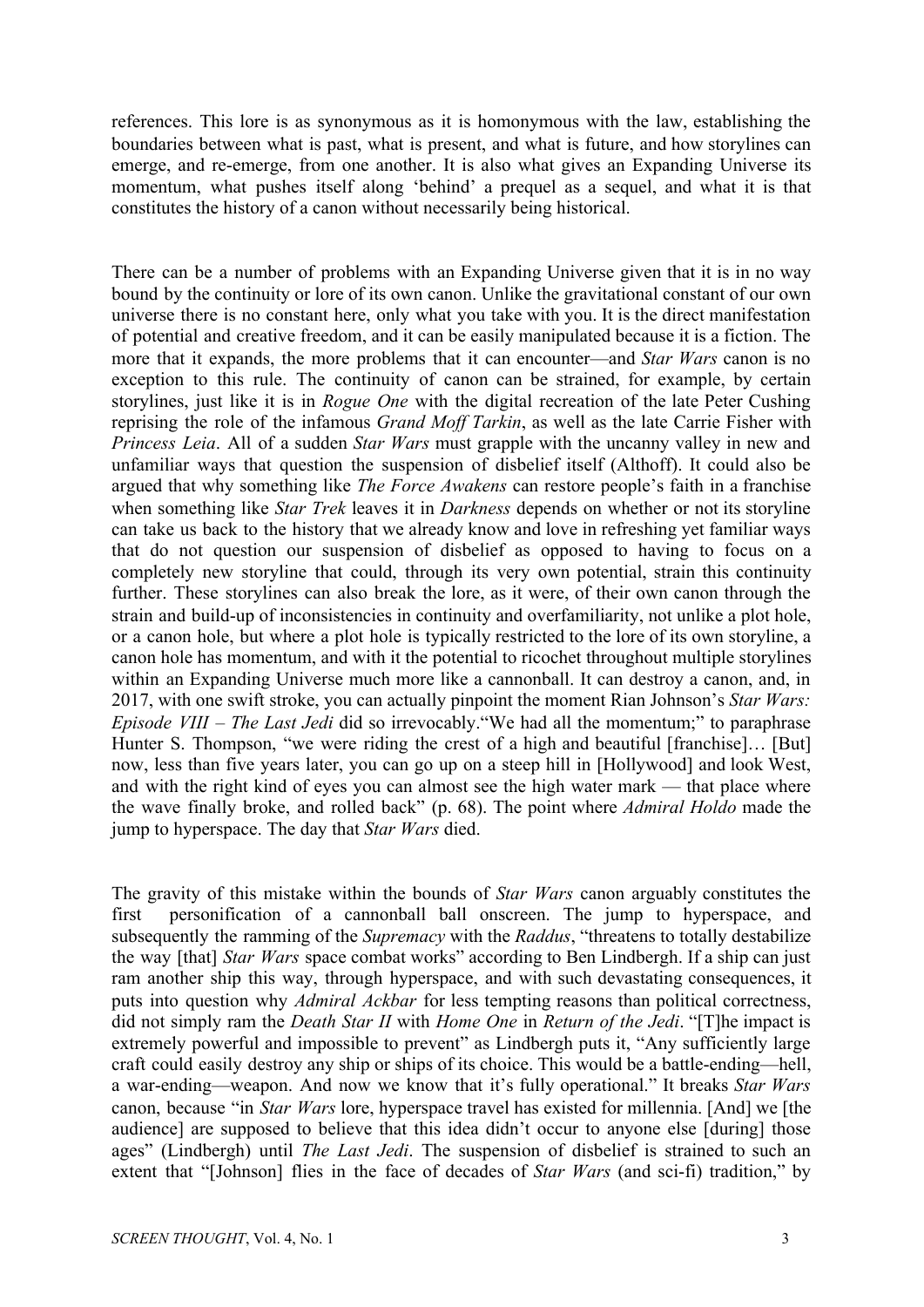references. This lore is as synonymous as it is homonymous with the law, establishing the boundaries between what is past, what is present, and what is future, and how storylines can emerge, and re-emerge, from one another. It is also what gives an Expanding Universe its momentum, what pushes itself along 'behind' a prequel as a sequel, and what it is that constitutes the history of a canon without necessarily being historical.

There can be a number of problems with an Expanding Universe given that it is in no way bound by the continuity or lore of its own canon. Unlike the gravitational constant of our own universe there is no constant here, only what you take with you. It is the direct manifestation of potential and creative freedom, and it can be easily manipulated because it is a fiction. The more that it expands, the more problems that it can encounter—and *Star Wars* canon is no exception to this rule. The continuity of canon can be strained, for example, by certain storylines, just like it is in *Rogue One* with the digital recreation of the late Peter Cushing reprising the role of the infamous *Grand Moff Tarkin*, as well as the late Carrie Fisher with *Princess Leia*. All of a sudden *Star Wars* must grapple with the uncanny valley in new and unfamiliar ways that question the suspension of disbelief itself (Althoff). It could also be argued that why something like *The Force Awakens* can restore people's faith in a franchise when something like *Star Trek* leaves it in *Darkness* depends on whether or not its storyline can take us back to the history that we already know and love in refreshing yet familiar ways that do not question our suspension of disbelief as opposed to having to focus on a completely new storyline that could, through its very own potential, strain this continuity further. These storylines can also break the lore, as it were, of their own canon through the strain and build-up of inconsistencies in continuity and overfamiliarity, not unlike a plot hole, or a canon hole, but where a plot hole is typically restricted to the lore of its own storyline, a canon hole has momentum, and with it the potential to ricochet throughout multiple storylines within an Expanding Universe much more like a cannonball. It can destroy a canon, and, in 2017, with one swift stroke, you can actually pinpoint the moment Rian Johnson's *Star Wars: Episode VIII – The Last Jedi* did so irrevocably."We had all the momentum;" to paraphrase Hunter S. Thompson, "we were riding the crest of a high and beautiful [franchise]... [But] now, less than five years later, you can go up on a steep hill in [Hollywood] and look West, and with the right kind of eyes you can almost see the high water mark — that place where the wave finally broke, and rolled back" (p. 68). The point where *Admiral Holdo* made the jump to hyperspace. The day that *Star Wars* died.

The gravity of this mistake within the bounds of *Star Wars* canon arguably constitutes the first personification of a cannonball ball onscreen. The jump to hyperspace, and subsequently the ramming of the *Supremacy* with the *Raddus*, "threatens to totally destabilize the way [that] *Star Wars* space combat works" according to Ben Lindbergh. If a ship can just ram another ship this way, through hyperspace, and with such devastating consequences, it puts into question why *Admiral Ackbar* for less tempting reasons than political correctness, did not simply ram the *Death Star II* with *Home One* in *Return of the Jedi*. "[T]he impact is extremely powerful and impossible to prevent" as Lindbergh puts it, "Any sufficiently large craft could easily destroy any ship or ships of its choice. This would be a battle-ending—hell, a war-ending—weapon. And now we know that it's fully operational." It breaks *Star Wars* canon, because "in *Star Wars* lore, hyperspace travel has existed for millennia. [And] we [the audience] are supposed to believe that this idea didn't occur to anyone else [during] those ages" (Lindbergh) until *The Last Jedi*. The suspension of disbelief is strained to such an extent that "[Johnson] flies in the face of decades of *Star Wars* (and sci-fi) tradition," by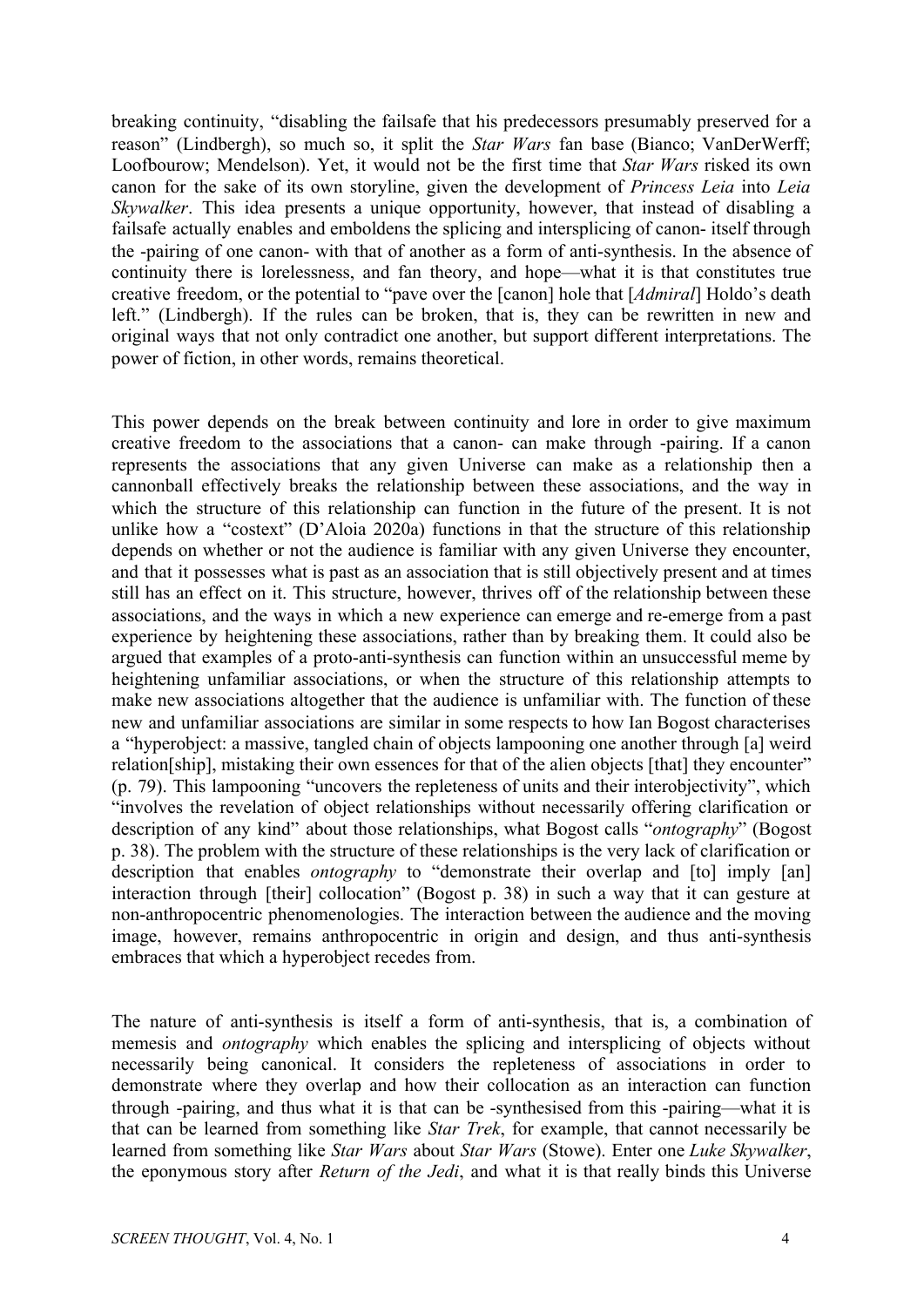breaking continuity, "disabling the failsafe that his predecessors presumably preserved for a reason" (Lindbergh), so much so, it split the *Star Wars* fan base (Bianco; VanDerWerff; Loofbourow; Mendelson). Yet, it would not be the first time that *Star Wars* risked its own canon for the sake of its own storyline, given the development of *Princess Leia* into *Leia Skywalker*. This idea presents a unique opportunity, however, that instead of disabling a failsafe actually enables and emboldens the splicing and intersplicing of canon- itself through the -pairing of one canon- with that of another as a form of anti-synthesis. In the absence of continuity there is lorelessness, and fan theory, and hope—what it is that constitutes true creative freedom, or the potential to "pave over the [canon] hole that [*Admiral*] Holdo's death left." (Lindbergh). If the rules can be broken, that is, they can be rewritten in new and original ways that not only contradict one another, but support different interpretations. The power of fiction, in other words, remains theoretical.

This power depends on the break between continuity and lore in order to give maximum creative freedom to the associations that a canon- can make through -pairing. If a canon represents the associations that any given Universe can make as a relationship then a cannonball effectively breaks the relationship between these associations, and the way in which the structure of this relationship can function in the future of the present. It is not unlike how a "costext" (D'Aloia 2020a) functions in that the structure of this relationship depends on whether or not the audience is familiar with any given Universe they encounter, and that it possesses what is past as an association that is still objectively present and at times still has an effect on it. This structure, however, thrives off of the relationship between these associations, and the ways in which a new experience can emerge and re-emerge from a past experience by heightening these associations, rather than by breaking them. It could also be argued that examples of a proto-anti-synthesis can function within an unsuccessful meme by heightening unfamiliar associations, or when the structure of this relationship attempts to make new associations altogether that the audience is unfamiliar with. The function of these new and unfamiliar associations are similar in some respects to how Ian Bogost characterises a "hyperobject: a massive, tangled chain of objects lampooning one another through [a] weird relation[ship], mistaking their own essences for that of the alien objects [that] they encounter" (p. 79). This lampooning "uncovers the repleteness of units and their interobjectivity", which "involves the revelation of object relationships without necessarily offering clarification or description of any kind" about those relationships, what Bogost calls "*ontography*" (Bogost p. 38). The problem with the structure of these relationships is the very lack of clarification or description that enables *ontography* to "demonstrate their overlap and [to] imply [an] interaction through [their] collocation" (Bogost p. 38) in such a way that it can gesture at non-anthropocentric phenomenologies. The interaction between the audience and the moving image, however, remains anthropocentric in origin and design, and thus anti-synthesis embraces that which a hyperobject recedes from.

The nature of anti-synthesis is itself a form of anti-synthesis, that is, a combination of memesis and *ontography* which enables the splicing and intersplicing of objects without necessarily being canonical. It considers the repleteness of associations in order to demonstrate where they overlap and how their collocation as an interaction can function through -pairing, and thus what it is that can be -synthesised from this -pairing—what it is that can be learned from something like *Star Trek*, for example, that cannot necessarily be learned from something like *Star Wars* about *Star Wars* (Stowe). Enter one *Luke Skywalker*, the eponymous story after *Return of the Jedi*, and what it is that really binds this Universe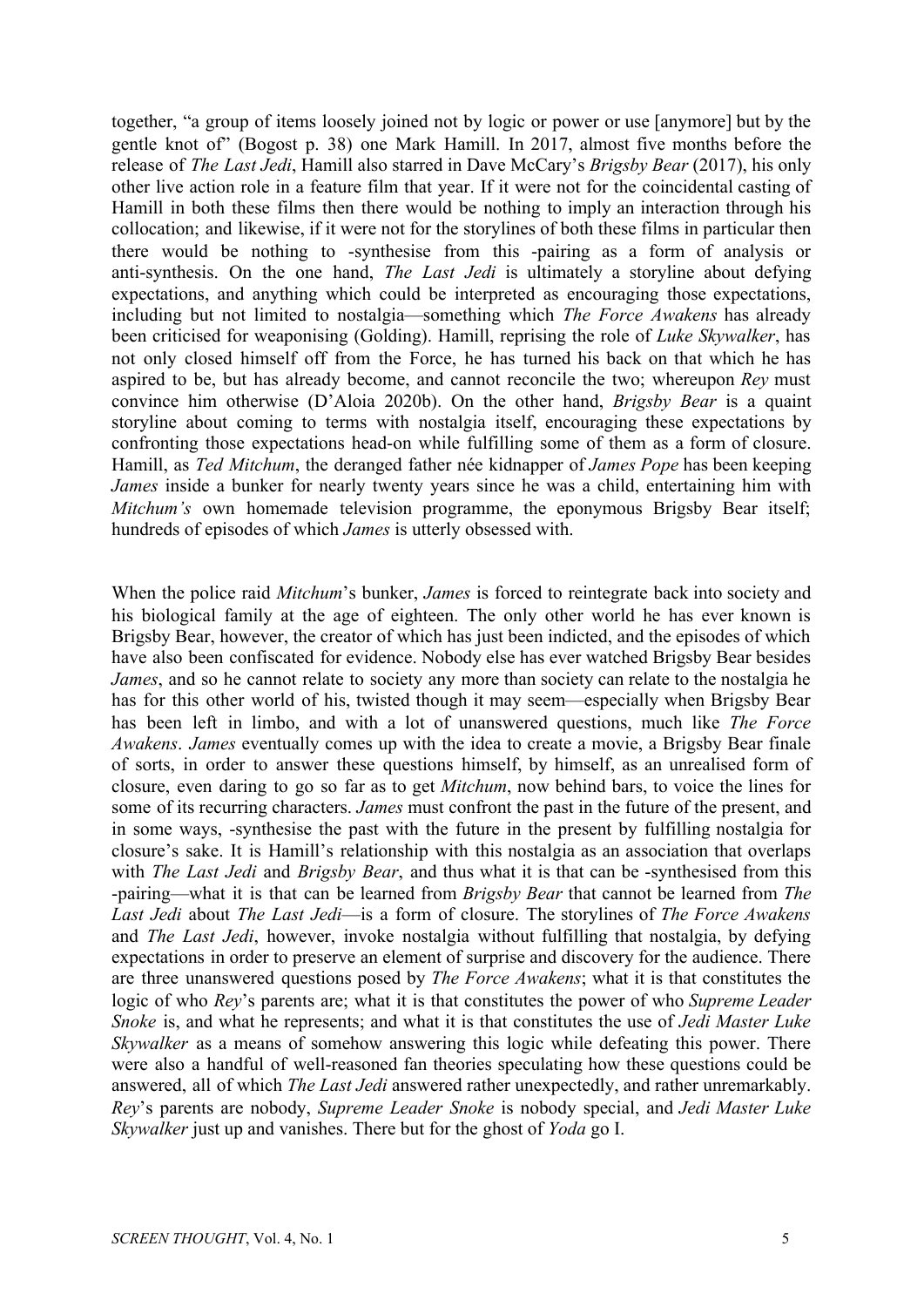together, "a group of items loosely joined not by logic or power or use [anymore] but by the gentle knot of" (Bogost p. 38) one Mark Hamill. In 2017, almost five months before the release of *The Last Jedi*, Hamill also starred in Dave McCary's *Brigsby Bear* (2017), his only other live action role in a feature film that year. If it were not for the coincidental casting of Hamill in both these films then there would be nothing to imply an interaction through his collocation; and likewise, if it were not for the storylines of both these films in particular then there would be nothing to -synthesise from this -pairing as a form of analysis or anti-synthesis. On the one hand, *The Last Jedi* is ultimately a storyline about defying expectations, and anything which could be interpreted as encouraging those expectations, including but not limited to nostalgia—something which *The Force Awakens* has already been criticised for weaponising (Golding). Hamill, reprising the role of *Luke Skywalker*, has not only closed himself off from the Force, he has turned his back on that which he has aspired to be, but has already become, and cannot reconcile the two; whereupon *Rey* must convince him otherwise (D'Aloia 2020b). On the other hand, *Brigsby Bear* is a quaint storyline about coming to terms with nostalgia itself, encouraging these expectations by confronting those expectations head-on while fulfilling some of them as a form of closure. Hamill, as *Ted Mitchum*, the deranged father née kidnapper of *James Pope* has been keeping *James* inside a bunker for nearly twenty years since he was a child, entertaining him with *Mitchum's* own homemade television programme, the eponymous Brigsby Bear itself; hundreds of episodes of which *James* is utterly obsessed with.

When the police raid *Mitchum*'s bunker, *James* is forced to reintegrate back into society and his biological family at the age of eighteen. The only other world he has ever known is Brigsby Bear, however, the creator of which has just been indicted, and the episodes of which have also been confiscated for evidence. Nobody else has ever watched Brigsby Bear besides *James*, and so he cannot relate to society any more than society can relate to the nostalgia he has for this other world of his, twisted though it may seem—especially when Brigsby Bear has been left in limbo, and with a lot of unanswered questions, much like *The Force Awakens*. *James* eventually comes up with the idea to create a movie, a Brigsby Bear finale of sorts, in order to answer these questions himself, by himself, as an unrealised form of closure, even daring to go so far as to get *Mitchum*, now behind bars, to voice the lines for some of its recurring characters. *James* must confront the past in the future of the present, and in some ways, -synthesise the past with the future in the present by fulfilling nostalgia for closure's sake. It is Hamill's relationship with this nostalgia as an association that overlaps with *The Last Jedi* and *Brigsby Bear*, and thus what it is that can be -synthesised from this -pairing—what it is that can be learned from *Brigsby Bear* that cannot be learned from *The Last Jedi* about *The Last Jedi*—is a form of closure. The storylines of *The Force Awakens* and *The Last Jedi*, however, invoke nostalgia without fulfilling that nostalgia, by defying expectations in order to preserve an element of surprise and discovery for the audience. There are three unanswered questions posed by *The Force Awakens*; what it is that constitutes the logic of who *Rey*'s parents are; what it is that constitutes the power of who *Supreme Leader Snoke* is, and what he represents; and what it is that constitutes the use of *Jedi Master Luke Skywalker* as a means of somehow answering this logic while defeating this power. There were also a handful of well-reasoned fan theories speculating how these questions could be answered, all of which *The Last Jedi* answered rather unexpectedly, and rather unremarkably. *Rey*'s parents are nobody, *Supreme Leader Snoke* is nobody special, and *Jedi Master Luke Skywalker* just up and vanishes. There but for the ghost of *Yoda* go I.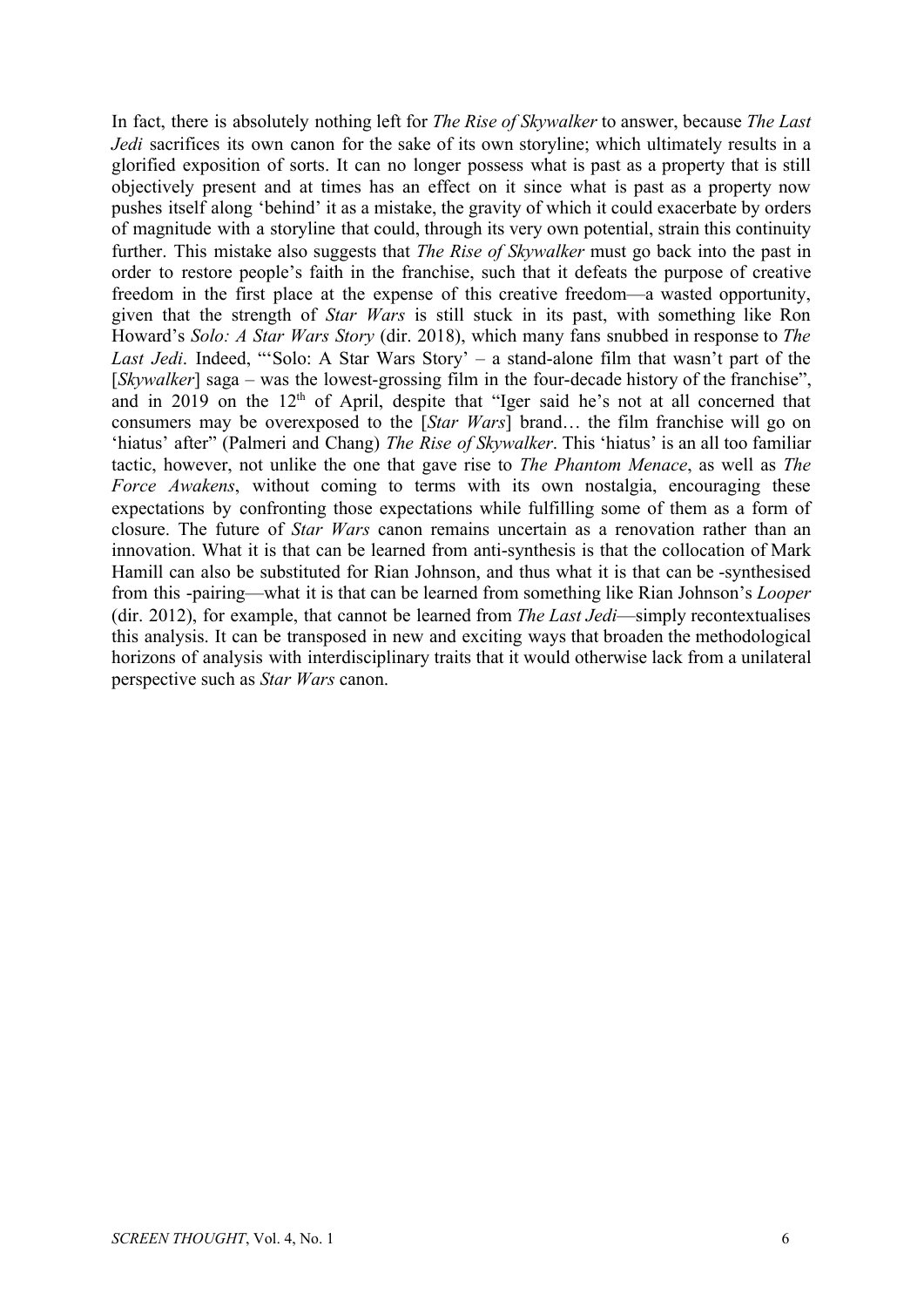In fact, there is absolutely nothing left for *The Rise of Skywalker* to answer, because *The Last Jedi* sacrifices its own canon for the sake of its own storyline; which ultimately results in a glorified exposition of sorts. It can no longer possess what is past as a property that is still objectively present and at times has an effect on it since what is past as a property now pushes itself along 'behind' it as a mistake, the gravity of which it could exacerbate by orders of magnitude with a storyline that could, through its very own potential, strain this continuity further. This mistake also suggests that *The Rise of Skywalker* must go back into the past in order to restore people's faith in the franchise, such that it defeats the purpose of creative freedom in the first place at the expense of this creative freedom—a wasted opportunity, given that the strength of *Star Wars* is still stuck in its past, with something like Ron Howard's *Solo: A Star Wars Story* (dir. 2018), which many fans snubbed in response to *The Last Jedi*. Indeed, "'Solo: A Star Wars Story' – a stand-alone film that wasn't part of the [*Skywalker*] saga – was the lowest-grossing film in the four-decade history of the franchise", and in 2019 on the 12<sup>th</sup> of April, despite that "Iger said he's not at all concerned that consumers may be overexposed to the [*Star Wars*] brand… the film franchise will go on 'hiatus' after" (Palmeri and Chang) *The Rise of Skywalker*. This 'hiatus' is an all too familiar tactic, however, not unlike the one that gave rise to *The Phantom Menace*, as well as *The Force Awakens*, without coming to terms with its own nostalgia, encouraging these expectations by confronting those expectations while fulfilling some of them as a form of closure. The future of *Star Wars* canon remains uncertain as a renovation rather than an innovation. What it is that can be learned from anti-synthesis is that the collocation of Mark Hamill can also be substituted for Rian Johnson, and thus what it is that can be -synthesised from this -pairing—what it is that can be learned from something like Rian Johnson's *Looper* (dir. 2012), for example, that cannot be learned from *The Last Jedi*—simply recontextualises this analysis. It can be transposed in new and exciting ways that broaden the methodological horizons of analysis with interdisciplinary traits that it would otherwise lack from a unilateral perspective such as *Star Wars* canon.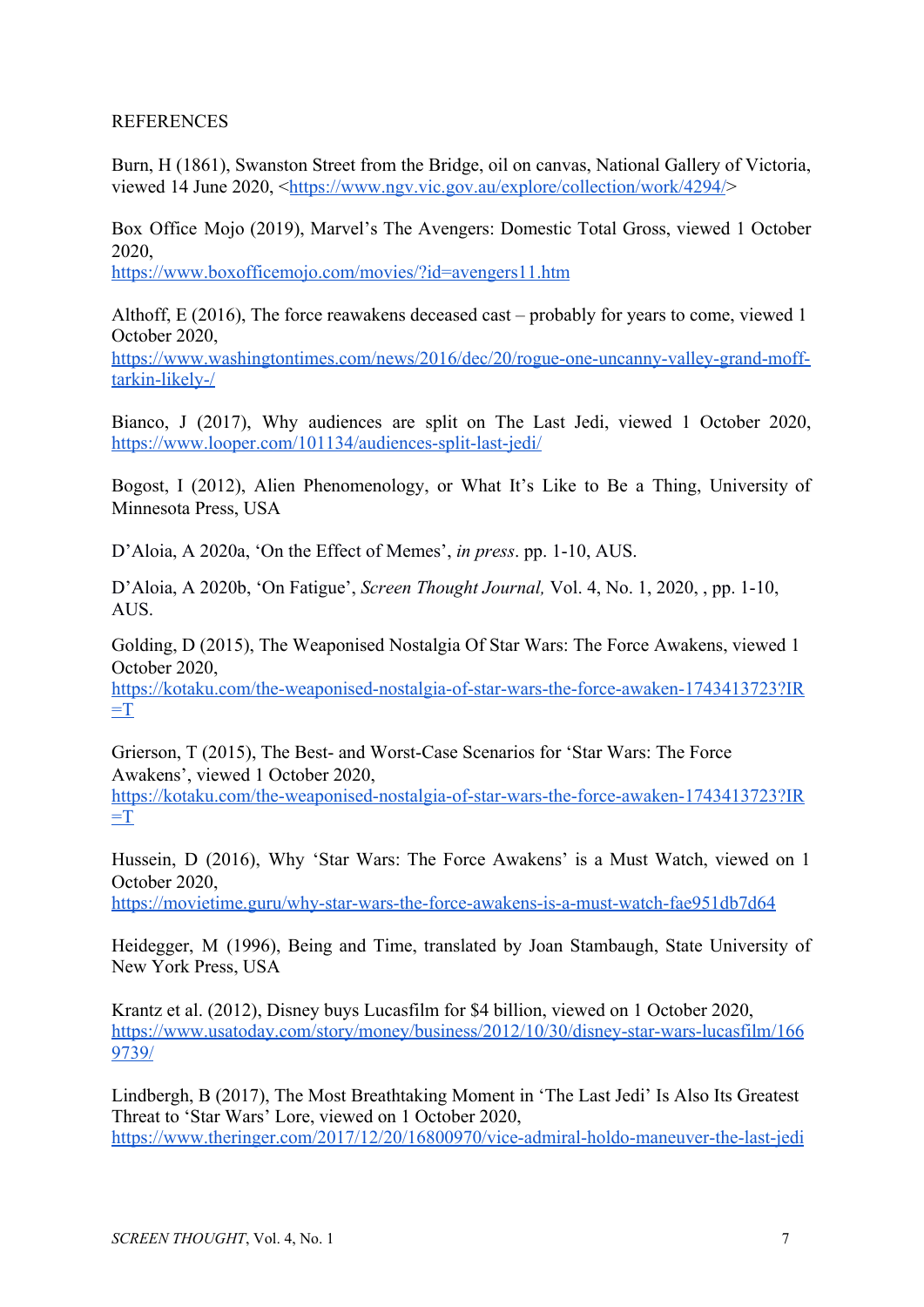## REFERENCES

Burn, H (1861), Swanston Street from the Bridge, oil on canvas, National Gallery of Victoria, viewed 14 June 2020, <<https://www.ngv.vic.gov.au/explore/collection/work/4294/>>

Box Office Mojo (2019), Marvel's The Avengers: Domestic Total Gross, viewed 1 October 2020,

<https://www.boxofficemojo.com/movies/?id=avengers11.htm>

Althoff, E (2016), The force reawakens deceased cast – probably for years to come, viewed 1 October 2020,

https://www.washingtontimes.com/news/2016/dec/20/rogue-one-uncanny-valley-grand-mofftarkin-likely-/

Bianco, J (2017), Why audiences are split on The Last Jedi, viewed 1 October 2020, <https://www.looper.com/101134/audiences-split-last-jedi/>

Bogost, I (2012), Alien Phenomenology, or What It's Like to Be a Thing, University of Minnesota Press, USA

D'Aloia, A 2020a, 'On the Effect of Memes', *in press*. pp. 1-10, AUS.

D'Aloia, A 2020b, 'On Fatigue', *Screen Thought Journal,* Vol. 4, No. 1, 2020, , pp. 1-10, AUS.

Golding, D (2015), The Weaponised Nostalgia Of Star Wars: The Force Awakens, viewed 1 October 2020,

[https://kotaku.com/the-weaponised-nostalgia-of-star-wars-the-force-awaken-1743413723?IR](https://kotaku.com/the-weaponised-nostalgia-of-star-wars-the-force-awaken-1743413723?IR=T)  $=T$ 

Grierson, T (2015), The Best- and Worst-Case Scenarios for 'Star Wars: The Force Awakens', viewed 1 October 2020,

[https://kotaku.com/the-weaponised-nostalgia-of-star-wars-the-force-awaken-1743413723?IR](https://kotaku.com/the-weaponised-nostalgia-of-star-wars-the-force-awaken-1743413723?IR=T)  $=T$ 

Hussein, D (2016), Why 'Star Wars: The Force Awakens' is a Must Watch, viewed on 1 October 2020,

<https://movietime.guru/why-star-wars-the-force-awakens-is-a-must-watch-fae951db7d64>

Heidegger, M (1996), Being and Time, translated by Joan Stambaugh, State University of New York Press, USA

Krantz et al. (2012), Disney buys Lucasfilm for \$4 billion, viewed on 1 October 2020, [https://www.usatoday.com/story/money/business/2012/10/30/disney-star-wars-lucasfilm/166](https://www.usatoday.com/story/money/business/2012/10/30/disney-star-wars-lucasfilm/1669739/) [9739/](https://www.usatoday.com/story/money/business/2012/10/30/disney-star-wars-lucasfilm/1669739/)

Lindbergh, B (2017), The Most Breathtaking Moment in 'The Last Jedi' Is Also Its Greatest Threat to 'Star Wars' Lore, viewed on 1 October 2020, <https://www.theringer.com/2017/12/20/16800970/vice-admiral-holdo-maneuver-the-last-jedi>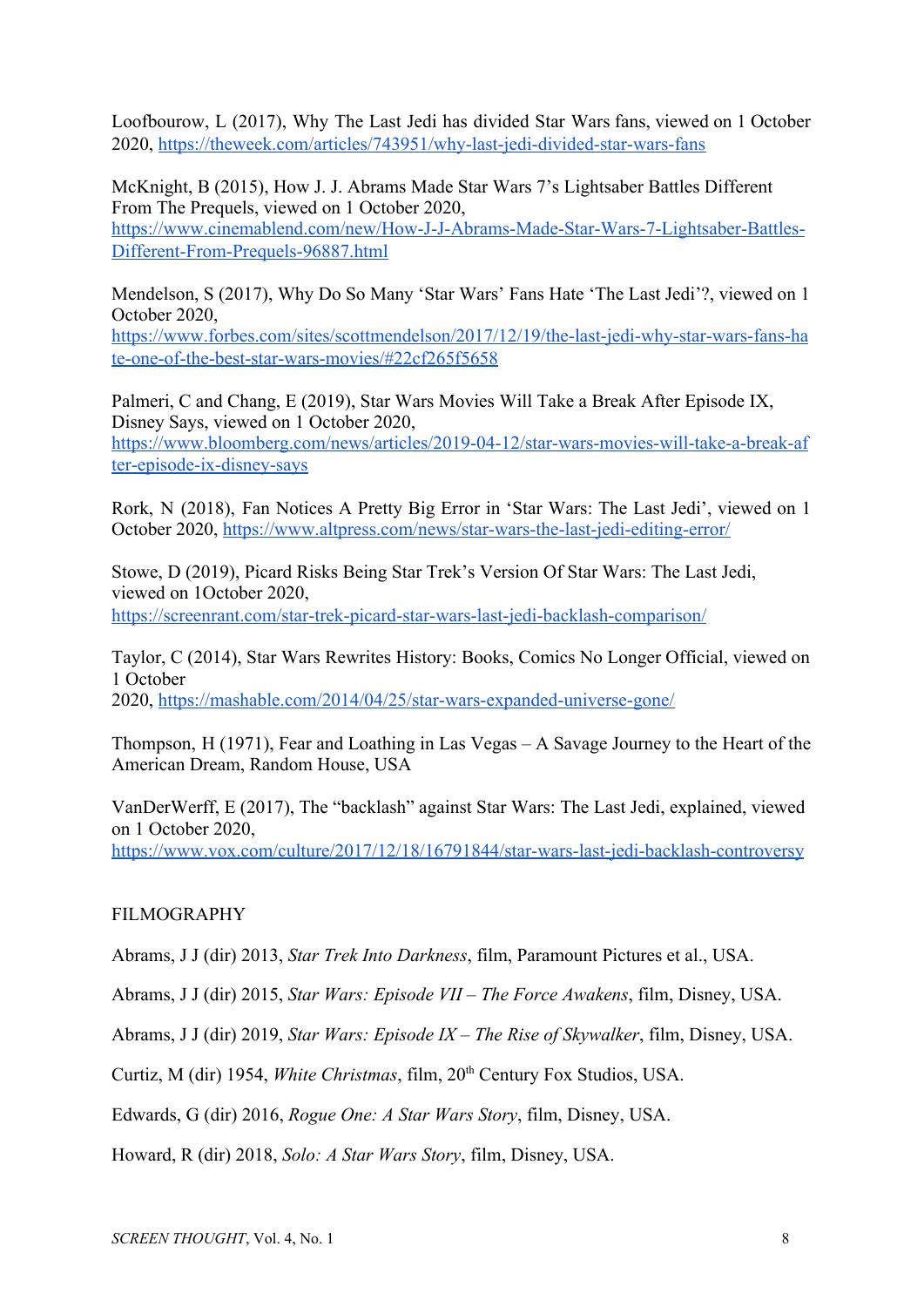Loofbourow, L (2017), Why The Last Jedi has divided Star Wars fans, viewed on 1 October 2020,<https://theweek.com/articles/743951/why-last-jedi-divided-star-wars-fans>

McKnight, B (2015), How J. J. Abrams Made Star Wars 7's Lightsaber Battles Different From The Prequels, viewed on 1 October 2020, [https://www.cinemablend.com/new/How-J-J-Abrams-Made-Star-Wars-7-Lightsaber-Battles-](https://www.cinemablend.com/new/How-J-J-Abrams-Made-Star-Wars-7-Lightsaber-Battles-Different-From-Prequels-96887.html)[Different-From-Prequels-96887.html](https://www.cinemablend.com/new/How-J-J-Abrams-Made-Star-Wars-7-Lightsaber-Battles-Different-From-Prequels-96887.html)

Mendelson, S (2017), Why Do So Many 'Star Wars' Fans Hate 'The Last Jedi'?, viewed on 1 October 2020,

[https://www.forbes.com/sites/scottmendelson/2017/12/19/the-last-jedi-why-star-wars-fans-ha](https://www.forbes.com/sites/scottmendelson/2017/12/19/the-last-jedi-why-star-wars-fans-hate-one-of-the-best-star-wars-movies/#22cf265f5658) [te-one-of-the-best-star-wars-movies/#22cf265f5658](https://www.forbes.com/sites/scottmendelson/2017/12/19/the-last-jedi-why-star-wars-fans-hate-one-of-the-best-star-wars-movies/#22cf265f5658)

Palmeri, C and Chang, E (2019), Star Wars Movies Will Take a Break After Episode IX, Disney Says, viewed on 1 October 2020, [https://www.bloomberg.com/news/articles/2019-04-12/star-wars-movies-will-take-a-break-af](https://www.bloomberg.com/news/articles/2019-04-12/star-wars-movies-will-take-a-break-after-episode-ix-disney-says) [ter-episode-ix-disney-says](https://www.bloomberg.com/news/articles/2019-04-12/star-wars-movies-will-take-a-break-after-episode-ix-disney-says)

Rork, N (2018), Fan Notices A Pretty Big Error in 'Star Wars: The Last Jedi', viewed on 1 October 2020, <https://www.altpress.com/news/star-wars-the-last-jedi-editing-error/>

Stowe, D (2019), Picard Risks Being Star Trek's Version Of Star Wars: The Last Jedi, viewed on 1October 2020, <https://screenrant.com/star-trek-picard-star-wars-last-jedi-backlash-comparison/>

Taylor, C (2014), Star Wars Rewrites History: Books, Comics No Longer Official, viewed on 1 October 2020,<https://mashable.com/2014/04/25/star-wars-expanded-universe-gone/>

Thompson, H (1971), Fear and Loathing in Las Vegas – A Savage Journey to the Heart of the American Dream, Random House, USA

VanDerWerff, E (2017), The "backlash" against Star Wars: The Last Jedi, explained, viewed on 1 October 2020, <https://www.vox.com/culture/2017/12/18/16791844/star-wars-last-jedi-backlash-controversy>

## FILMOGRAPHY

Abrams, J J (dir) 2013, *Star Trek Into Darkness*, film, Paramount Pictures et al., USA.

Abrams, J J (dir) 2015, *Star Wars: Episode VII – The Force Awakens*, film, Disney, USA.

Abrams, J J (dir) 2019, *Star Wars: Episode IX – The Rise of Skywalker*, film, Disney, USA.

Curtiz, M (dir) 1954, White Christmas, film, 20<sup>th</sup> Century Fox Studios, USA.

Edwards, G (dir) 2016, *Rogue One: A Star Wars Story*, film, Disney, USA.

Howard, R (dir) 2018, *Solo: A Star Wars Story*, film, Disney, USA.